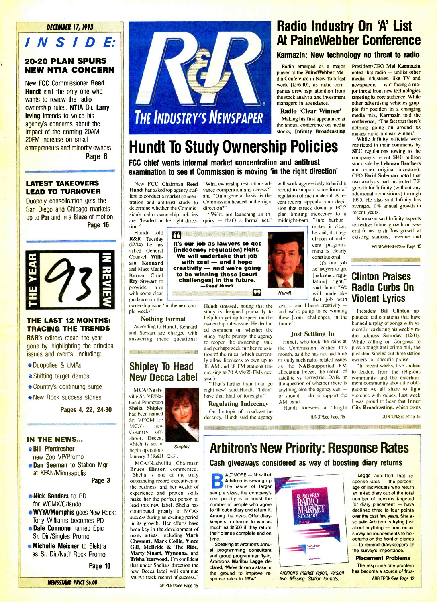#### DECEMBER 17, 1993

# INSIDE:

#### 20 -20 PLAN SPURS NEW NTIA CONCERN

Ĭ

New FCC Commissioner Reed Hundt isn't the only one who wants to review the radio ownership rules. NTIA Dir. Larry **Irving** intends to voice his agency's concerns about the impact of the coming 20AM-**20FM** increase on small entrepreneurs and minority owners. Page 6

#### LATEST TAKEOVERS LEAD TO TURNOVER

**Duopoly consolidation gets the** San Diego and Chicago markets up to **Par** and in a **Blaze** of motion. || sion's radio ownership policies Page 16



#### THE LAST 12 MONTHS: TRACING THE TRENDS

**R&R**'s editors recap the year gone by, highlighting the principal issues and everts, including:

- **Duopolies & LMAs**
- Shifting target demos
- **∴ ⊗Country's continuing surge** 
	- **New Rock success stories**

Pages 4, 22, 24-30

#### IN THE NEWS...

BilI Pfordresher new Zoo VP/Promo

**. Dan Seeman** to Station Mgr. at KFAN/Minneapolis Page 3

**e Nick Sanders to PD** for WOMX/Orlando

- Tony Williams becomes PD **• Dale Connone** named Epic
- Sr. Dir/Singles Promo
- **e Michelle Meisner to Elektra** as Sr. Dir./Nat'l Rock Promo

Page 10



# Radio Industry On 'A' List At PaineWebber Conference

#### Karmazin: New technology no threat to radio

Radio emerged as a major player at the PaineWebber Media Conference in New York last<br>week (12/6-10), as radio companies drew rapt attention from ior threat from new technologies the stock analysts and investment managers in attendance.

Radio 'Clear Winner' Making his first appearance at the annual conference on media stocks, Infinity Broadcasting

# Hundt To Study Ownership Policies

### FCC chief wants informal market concentration and antitrust examination to see if Commission is moving 'in the right direction'

Hundt has asked top agency staf-<br>fers to conduct a market concentration and antitrust study to determine whether the Commisare "headed in the right direction."

 $\frac{1}{2}$  with some clear  $\frac{1}{2}$ **z am Kennard**<br>am Kennard<br>and Mass Media and Mass Media<br>Bureau Chief<br>Roy Stewart to Hundt told **13** (12/14) he has asked General Counsel Willi-Roy Stewart to provide him with some clear

ownership issue "in the next cou- ple weeks." Nothing Formal

According to Hundt, Kennard and Stewart are charged with answering these questions:

ISÉE.11"

# Shipley To Head New Decca Label

MCA /Nashville Sr. VP/National Promotion Shelia Shipley has been named Sr. VP/GM for MCA's new<br>Country off-Country shoot, Decca, which is set to

begin operations January 3 (**R&R** 12/3). **Shipley** 

**WYYA/Memphis goes New Rock;** contributed greatly to MCA's MCA/Nashville Chairman Bruce Hinton commented, "Shelia is one of the truly outstanding record executives in the business, and her wealth of experience and proven skills make her the perfect person to lead this new label. Shelia has success during an exciting period in its growth. Her efforts have been key in the.development of many artists, including Mark Chesnutt, Mark Collie, Vince Gill, McBride & The Ride, Marty Stuart, Wynonna, and Trisha Yearwood. I'm confident that under Shelia's direction the new Decca label will continue MCA's track record of success."

New FCC Chairman Reed "What ownership restrictions advance competition and access?" and "On a general basis, is the Commission headed in the right direction?'

> "We're not launching an inquiry  $-$  that's a formal act,"

R&R Tuesday  $\begin{array}{|c|c|c|c|c|}\n\hline\n\text{R}\&\text{R} & \text{The base line is } \\
\hline\n\text{I17/14} & \text{he has} & \text{It's our job as law,} \\
\hline\n\end{array}$ and Mass Media | **creativity — and we're going** It's our job as lawyers to get<br>[indecency regulation] right. We will undertake that job<br>with zeal — and I hope<br>creativity — and we're going to be winning these [court challenges] in the future. -Reed Hundt

will work aggressively to build a record to support some form of regulation of such material. A recent federal appeals court decision that struck down an FCC plan limiting indecency to a<br>midnight-bam "safe harbor" midnight-6am

makes it clear, he said, that regulation of indecent programming is clearly constitutional. "It's our job as lawyers to get [indecency regu-

lation] right,

will undertake

 $zeal - and I$  hope creativity and we're going to be winning these **[court challenges]** in the

#### Just Settling In

Hundt, who took the reins at month, said he has not had time to study such radio-related issues<br>as the NAB-supported FM allocation freeze, the merits of satellite vs. terrestrial DAB, or the question of whether there is anything else the agency can or should  $-$  do to support the AM band.

President/CEO Mel Karmazin noted that radio - unlike other media industries, like TV and  $newspapers - isn't facing a ma$ targeting its core audience. While other advertising vehicles grapple for position in a changing media mix, Karmazin told the conference, "The fact that there's nothing going on around us makes radio a clear winner."<br>While Infinity officials were

restricted in their comments by SEC regulations (owing to the company's recent \$140 million stock sale by Lehman Brothers and other original investors), CFO Farid Suleman noted that two analysts had projected 7% growth for Infinity (without any additional acquisitions) through 1995. He also said Infinity has averaged 11% annual growth in recent years.

Karmazin said Infinity expects to realize future growth on sev eral fronts: cash flow growth at existing stations, revenue and

PAINEWEBBER/See Page 15

### said Hundt. "We **Radio Curbs On** that job with Violent Lyrics Clinton Praises

the Commission earlier this pass a tough anti-crime bill, the month, said he has not had time president singled out three station President Bill Clinton applauded radio stations that have banned airplay of songs with violent lyrics during his weekly radio address Saturday (12/11). While calling on Congress to pass a tough anti-crime bill, the owners for specific praise.

'In recent weeks, I've spoken to leaders from the religious community and the entertainment community about the obligations we all share to fight violence with values. Last week I was proud to hear that Inner City Broadcasting, which owns

CLINTON/See Page 15

# Arbitron's New Priority: Response Rates Cash giveaways considered as way of boosting diary returns

 $A$ LTIMORE  $-$  Now that Arbitron is sewing up r the issue of larger sample sizes, the company's next priority is to boost the number of people who agree to fill out a diary and return it. Among the ideas: Offer diarykeepers a chance to win as much as \$1500 if they return their diaries complete and on time.

Speaking at Arbitron's annu al programming consultant and group programmer fly-in, Arbitron's Marilou Legge declared, "We've driven a stake in the ground to improve re sponse rates in 1994.



Arbitron's market report, version two, Missing: Station formats.

**Legge admitted that re**sponse rates - the percentage of individuals who return an in-tab diary out of the total number of persons targeted for diary placement  $-$  have declined three to four points over the past few years. She also said Arbitron is trying just about anything - from on-air survey announcements to holograms on the front of diaries - to remind diarykeepers of the survey's importance.

#### Placement Problems

The response rate problem has become a source of frus-ARBITRON/See Page 12

study is designed primarily to help him get up to speed on the ownership rules issue. He declined comment on whether the study might prompt the agency to reopen the ownership issue and perhaps seek further relaxation of the rules, which currently allow licensees to own up to 18 AM and 18 FM stations (increasing to 20 AMs/20 FMs next

year). "That's farther than I can go the right now," said Hundt. "I don't have that kind of foresight."

On the topic of broadcast in-

Regulating Indecency decency, Hundt said the agency Hundt foresees a "bright HUNDT/See Page 15 S ..., ,WIMP. MARKED AND MARKED AND MARKED AND MARKED AND MARKED AND MARKED AND MARKED AND MARKED AND MARKED A

NEWSSTAND PRICE \$6.00